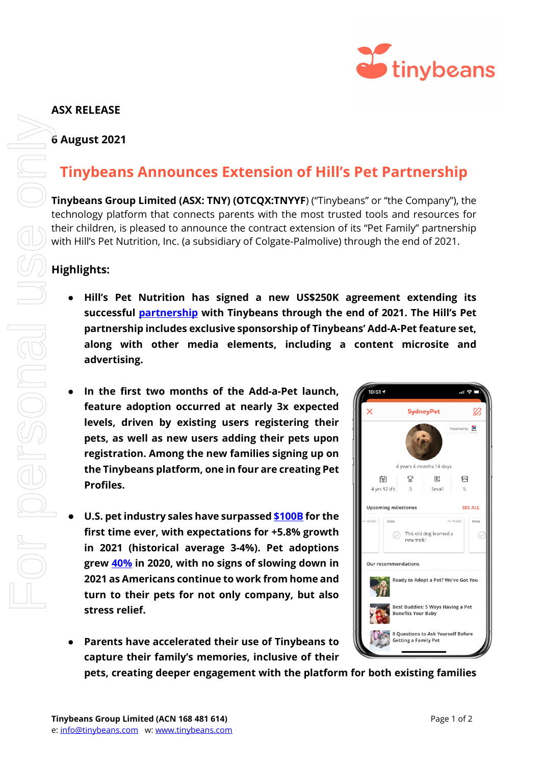

## **ASX RELEASE**

#### **6 August 2021**

# **Tinybeans Announces Extension of Hill's Pet Partnership**

**Tinybeans Group Limited (ASX: TNY) (OTCQX:TNYYF**) ("Tinybeans" or "the Company"), the technology platform that connects parents with the most trusted tools and resources for their children, is pleased to announce the contract extension of its "Pet Family" partnership with Hill's Pet Nutrition, Inc. (a subsidiary of Colgate-Palmolive) through the end of 2021.

### **Highlights:**

- **Hill's Pet Nutrition has signed a new US\$250K agreement extending its successful [partnership](https://cdn-api.markitdigital.com/apiman-gateway/ASX/asx-research/1.0/file/2924-02367286-2A1294529?access_token=83ff96335c2d45a094df02a206a39ff4) with Tinybeans through the end of 2021. The Hill's Pet partnership includes exclusive sponsorship of Tinybeans' Add-A-Pet feature set, along with other media elements, including a content microsite and advertising.**
- **In the first two months of the Add-a-Pet launch, feature adoption occurred at nearly 3x expected levels, driven by existing users registering their pets, as well as new users adding their pets upon registration. Among the new families signing up on the Tinybeans platform, one in four are creating Pet Profiles.**
- **U.S. pet industry sales have surpasse[d \\$100B](https://www.supermarketnews.com/winning-pet-care/pet-industry-sales-2020-surpass-100-billion-first-time?utm_source=Iterable&utm_medium=email&utm_campaign=newsletter-20210708) for the first time ever, with expectations for +5.8% growth in 2021 (historical average 3-4%). Pet adoptions grew [40%](https://www.reuters.com/world/us/us-pet-adoptions-still-strong-cats-dogs-melt-stress-2021-05-03/) in 2020, with no signs of slowing down in 2021 as Americans continue to work from home and turn to their pets for not only company, but also stress relief.**
- **Parents have accelerated their use of Tinybeans to capture their family's memories, inclusive of their**



**pets, creating deeper engagement with the platform for both existing families**